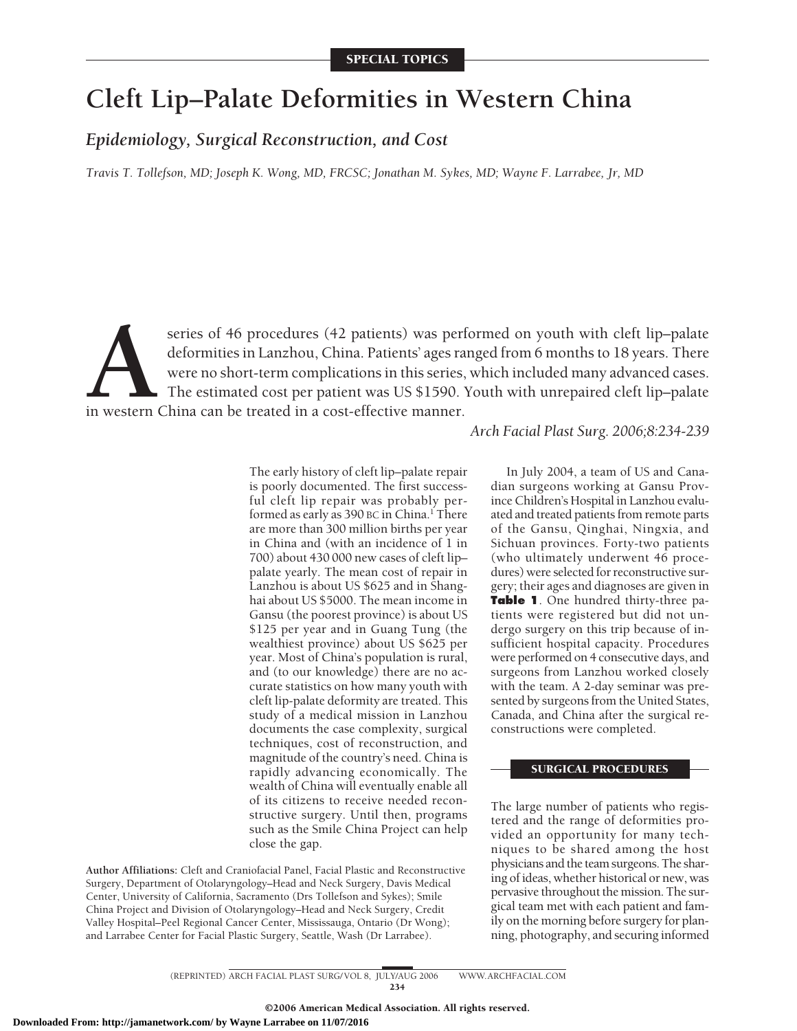# **Cleft Lip–Palate Deformities in Western China**

# *Epidemiology, Surgical Reconstruction, and Cost*

*Travis T. Tollefson, MD; Joseph K. Wong, MD, FRCSC; Jonathan M. Sykes, MD; Wayne F. Larrabee, Jr, MD*

series of 46 procedures (42 patients) was performed on youth with cleft lip–palate deformities in Lanzhou, China. Patients' ages ranged from 6 months to 18 years. There were no short-term complications in this series, whic deformities in Lanzhou, China. Patients' ages ranged from 6 months to 18 years. There were no short-term complications in this series, which included many advanced cases. The estimated cost per patient was US \$1590. Youth with unrepaired cleft lip–palate in western China can be treated in a cost-effective manner.

*Arch Facial Plast Surg. 2006;8:234-239*

The early history of cleft lip–palate repair is poorly documented. The first successful cleft lip repair was probably performed as early as 390 BC in China.<sup>1</sup> There are more than 300 million births per year in China and (with an incidence of 1 in 700) about 430 000 new cases of cleft lip– palate yearly. The mean cost of repair in Lanzhou is about US \$625 and in Shanghai about US \$5000. The mean income in Gansu (the poorest province) is about US \$125 per year and in Guang Tung (the wealthiest province) about US \$625 per year. Most of China's population is rural, and (to our knowledge) there are no accurate statistics on how many youth with cleft lip-palate deformity are treated. This study of a medical mission in Lanzhou documents the case complexity, surgical techniques, cost of reconstruction, and magnitude of the country's need. China is rapidly advancing economically. The wealth of China will eventually enable all of its citizens to receive needed reconstructive surgery. Until then, programs such as the Smile China Project can help close the gap.

**Author Affiliations:** Cleft and Craniofacial Panel, Facial Plastic and Reconstructive Surgery, Department of Otolaryngology–Head and Neck Surgery, Davis Medical Center, University of California, Sacramento (Drs Tollefson and Sykes); Smile China Project and Division of Otolaryngology–Head and Neck Surgery, Credit Valley Hospital–Peel Regional Cancer Center, Mississauga, Ontario (Dr Wong); and Larrabee Center for Facial Plastic Surgery, Seattle, Wash (Dr Larrabee).

In July 2004, a team of US and Canadian surgeons working at Gansu Province Children's Hospital in Lanzhou evaluated and treated patients from remote parts of the Gansu, Qinghai, Ningxia, and Sichuan provinces. Forty-two patients (who ultimately underwent 46 procedures) were selected for reconstructive surgery; their ages and diagnoses are given in **Table 1**. One hundred thirty-three patients were registered but did not undergo surgery on this trip because of insufficient hospital capacity. Procedures were performed on 4 consecutive days, and surgeons from Lanzhou worked closely with the team. A 2-day seminar was presented by surgeons from the United States, Canada, and China after the surgical reconstructions were completed.

### SURGICAL PROCEDURES

The large number of patients who registered and the range of deformities provided an opportunity for many techniques to be shared among the host physicians and the team surgeons. The sharing of ideas, whether historical or new, was pervasive throughout the mission. The surgical team met with each patient and family on the morning before surgery for planning, photography, and securing informed

(REPRINTED) ARCH FACIAL PLAST SURG/ VOL 8, JULY/AUG 2006 WWW.ARCHFACIAL.COM 234

©2006 American Medical Association. All rights reserved.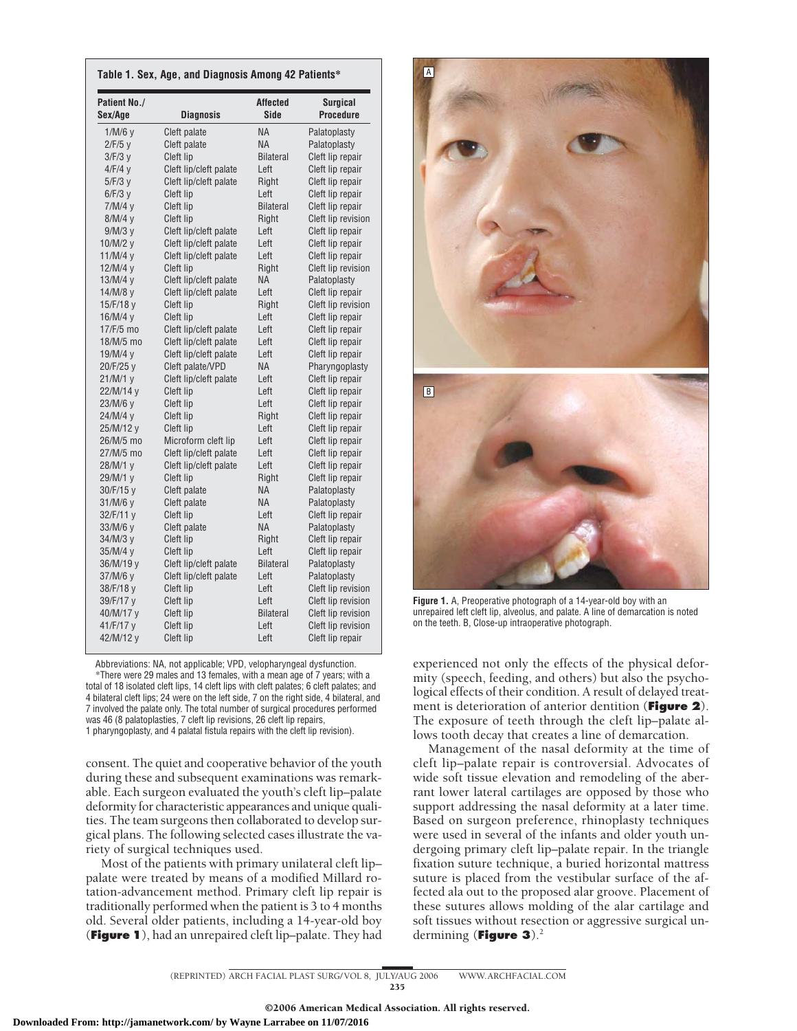| Patient No./<br>Sex/Age | <b>Diagnosis</b>          | <b>Affected</b><br><b>Side</b> | <b>Surgical</b><br><b>Procedure</b> |
|-------------------------|---------------------------|--------------------------------|-------------------------------------|
| $1/M/6$ y               | Cleft palate              | <b>NA</b>                      | Palatoplasty                        |
| $2/F/5$ y               | Cleft palate              | <b>NA</b>                      | Palatoplasty                        |
| $3/F/3$ $V$             | Cleft lip                 | <b>Bilateral</b>               | Cleft lip repair                    |
| 4/F/4y                  | Cleft lip/cleft palate    | Left                           | Cleft lip repair                    |
| $5/F/3$ y               | Cleft lip/cleft palate    | Right                          | Cleft lip repair                    |
| $6/F/3$ y               | Cleft lip                 | Left                           | Cleft lip repair                    |
| $7/M/4$ y               | Cleft lip                 | <b>Bilateral</b>               | Cleft lip repair                    |
| $8/M/4$ y               | Cleft lip                 | Right                          | Cleft lip revision                  |
| $9/M/3$ y               | Cleft lip/cleft palate    | Left                           | Cleft lip repair                    |
| 10/M/2 v                | Cleft lip/cleft palate    | Left                           | Cleft lip repair                    |
| $11/M/4$ y              | Cleft lip/cleft palate    | Left                           | Cleft lip repair                    |
| $12/M/4$ y              | Cleft lip                 | Right                          | Cleft lip revision                  |
| $13/M/4$ y              | Cleft lip/cleft palate    | <b>NA</b>                      | Palatoplasty                        |
| $14/M/8$ y              | Cleft lip/cleft palate    | Left                           | Cleft lip repair                    |
| 15/F/18 y               | Cleft lip                 | Right                          | Cleft lip revision                  |
| 16/M/4 $y$              | Cleft lip                 | Left                           | Cleft lip repair                    |
| 17/F/5 mo               | Cleft lip/cleft palate    | Left                           | Cleft lip repair                    |
| 18/M/5 mo               | Cleft lip/cleft palate    | Left                           | Cleft lip repair                    |
| 19/M/4 y                | Cleft lip/cleft palate    | Left                           | Cleft lip repair                    |
| 20/F/25 v               | Cleft palate/VPD          | <b>NA</b>                      | Pharyngoplasty                      |
| $21/M/1$ y              | Cleft lip/cleft palate    | Left                           | Cleft lip repair                    |
| 22/M/14 y               | Cleft lip                 | Left                           | Cleft lip repair                    |
| 23/M/6 y                | Cleft lip                 | Left                           | Cleft lip repair                    |
| 24/M/4 y                | Cleft lip                 | Right                          | Cleft lip repair                    |
| 25/M/12 y               | Cleft lip                 | Left                           | Cleft lip repair                    |
| 26/M/5 mo               | Microform cleft lip       | Left                           | Cleft lip repair                    |
| 27/M/5 mo               | Cleft lip/cleft palate    | Left                           | Cleft lip repair                    |
| 28/M/1 y                | Cleft lip/cleft palate    | Left                           | Cleft lip repair                    |
| 29/M/1 y                | Cleft lip<br>Cleft palate | Right<br><b>NA</b>             | Cleft lip repair<br>Palatoplasty    |
| 30/F/15y<br>$31/M/6$ y  | Cleft palate              | <b>NA</b>                      | Palatoplasty                        |
| 32/F/11 y               | Cleft lip                 | Left                           | Cleft lip repair                    |
| $33/M/6$ y              | Cleft palate              | <b>NA</b>                      | Palatoplasty                        |
| $34/M/3$ y              | Cleft lip                 | Right                          | Cleft lip repair                    |
| 35/M/4 y                | <b>Cleft lip</b>          | Left                           | Cleft lip repair                    |
| 36/M/19 y               | Cleft lip/cleft palate    | <b>Bilateral</b>               | Palatoplasty                        |
| $37/M/6$ y              | Cleft lip/cleft palate    | Left                           | Palatoplasty                        |
| 38/F/18 y               | Cleft lip                 | Left                           | Cleft lip revision                  |
| 39/F/17 y               | Cleft lip                 | Left                           | Cleft lip revision                  |
| 40/M/17 y               | Cleft lip                 | <b>Bilateral</b>               | Cleft lip revision                  |
| 41/F/17 y               | Cleft lip                 | Left                           | Cleft lip revision                  |
| 42/M/12 y               | Cleft lip                 | Left                           | Cleft lip repair                    |

Abbreviations: NA, not applicable; VPD, velopharyngeal dysfunction. \*There were 29 males and 13 females, with a mean age of 7 years; with a total of 18 isolated cleft lips, 14 cleft lips with cleft palates; 6 cleft palates; and 4 bilateral cleft lips; 24 were on the left side, 7 on the right side, 4 bilateral, and 7 involved the palate only. The total number of surgical procedures performed was 46 (8 palatoplasties, 7 cleft lip revisions, 26 cleft lip repairs, 1 pharyngoplasty, and 4 palatal fistula repairs with the cleft lip revision).

consent. The quiet and cooperative behavior of the youth during these and subsequent examinations was remarkable. Each surgeon evaluated the youth's cleft lip–palate deformity for characteristic appearances and unique qualities. The team surgeons then collaborated to develop surgical plans. The following selected cases illustrate the variety of surgical techniques used.

Most of the patients with primary unilateral cleft lip– palate were treated by means of a modified Millard rotation-advancement method. Primary cleft lip repair is traditionally performed when the patient is 3 to 4 months old. Several older patients, including a 14-year-old boy (**Figure 1**), had an unrepaired cleft lip–palate. They had



**Figure 1.** A, Preoperative photograph of a 14-year-old boy with an unrepaired left cleft lip, alveolus, and palate. A line of demarcation is noted on the teeth. B, Close-up intraoperative photograph.

experienced not only the effects of the physical deformity (speech, feeding, and others) but also the psychological effects of their condition. A result of delayed treatment is deterioration of anterior dentition (**Figure 2**). The exposure of teeth through the cleft lip–palate allows tooth decay that creates a line of demarcation.

Management of the nasal deformity at the time of cleft lip–palate repair is controversial. Advocates of wide soft tissue elevation and remodeling of the aberrant lower lateral cartilages are opposed by those who support addressing the nasal deformity at a later time. Based on surgeon preference, rhinoplasty techniques were used in several of the infants and older youth undergoing primary cleft lip–palate repair. In the triangle fixation suture technique, a buried horizontal mattress suture is placed from the vestibular surface of the affected ala out to the proposed alar groove. Placement of these sutures allows molding of the alar cartilage and soft tissues without resection or aggressive surgical undermining (**Figure 3**).2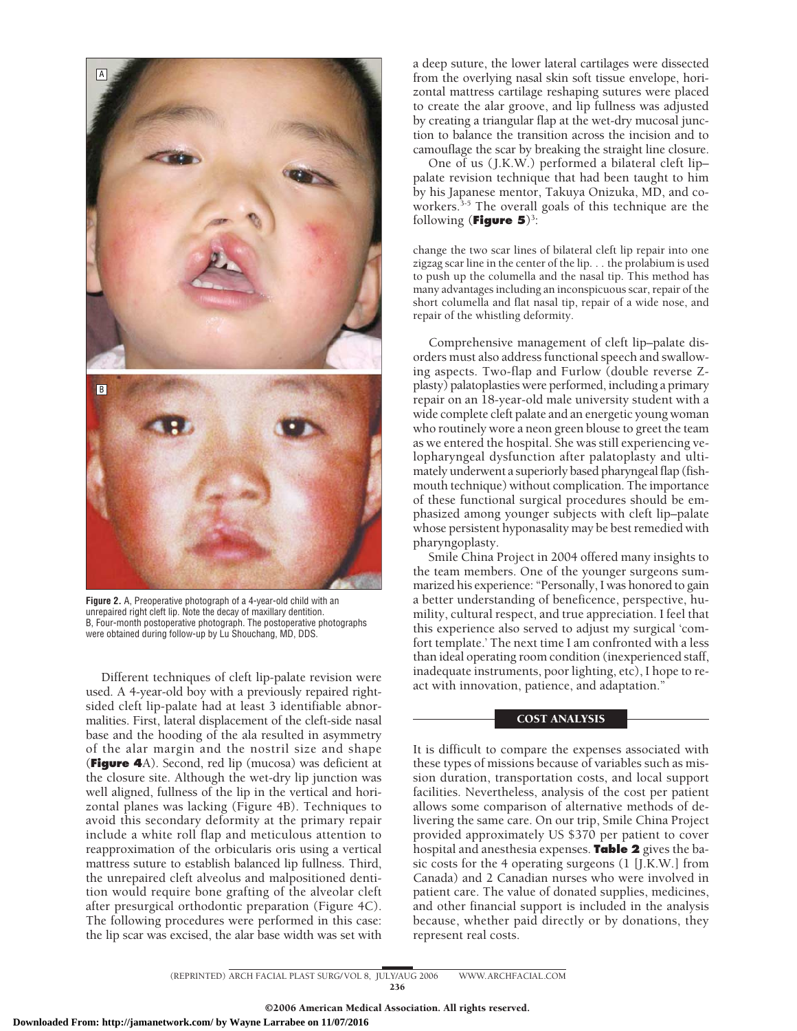

**Figure 2.** A, Preoperative photograph of a 4-year-old child with an unrepaired right cleft lip. Note the decay of maxillary dentition. B, Four-month postoperative photograph. The postoperative photographs were obtained during follow-up by Lu Shouchang, MD, DDS.

Different techniques of cleft lip-palate revision were used. A 4-year-old boy with a previously repaired rightsided cleft lip-palate had at least 3 identifiable abnormalities. First, lateral displacement of the cleft-side nasal base and the hooding of the ala resulted in asymmetry of the alar margin and the nostril size and shape (**Figure 4**A). Second, red lip (mucosa) was deficient at the closure site. Although the wet-dry lip junction was well aligned, fullness of the lip in the vertical and horizontal planes was lacking (Figure 4B). Techniques to avoid this secondary deformity at the primary repair include a white roll flap and meticulous attention to reapproximation of the orbicularis oris using a vertical mattress suture to establish balanced lip fullness. Third, the unrepaired cleft alveolus and malpositioned dentition would require bone grafting of the alveolar cleft after presurgical orthodontic preparation (Figure 4C). The following procedures were performed in this case: the lip scar was excised, the alar base width was set with a deep suture, the lower lateral cartilages were dissected from the overlying nasal skin soft tissue envelope, horizontal mattress cartilage reshaping sutures were placed to create the alar groove, and lip fullness was adjusted by creating a triangular flap at the wet-dry mucosal junction to balance the transition across the incision and to camouflage the scar by breaking the straight line closure.

One of us ( J.K.W.) performed a bilateral cleft lip– palate revision technique that had been taught to him by his Japanese mentor, Takuya Onizuka, MD, and coworkers.<sup>3-5</sup> The overall goals of this technique are the following (Figure 5)<sup>3</sup>:

change the two scar lines of bilateral cleft lip repair into one zigzag scar line in the center of the lip. . . the prolabium is used to push up the columella and the nasal tip. This method has many advantages including an inconspicuous scar, repair of the short columella and flat nasal tip, repair of a wide nose, and repair of the whistling deformity.

Comprehensive management of cleft lip–palate disorders must also address functional speech and swallowing aspects. Two-flap and Furlow (double reverse Zplasty) palatoplasties were performed, including a primary repair on an 18-year-old male university student with a wide complete cleft palate and an energetic young woman who routinely wore a neon green blouse to greet the team as we entered the hospital. She was still experiencing velopharyngeal dysfunction after palatoplasty and ultimately underwent a superiorly based pharyngeal flap (fishmouth technique) without complication. The importance of these functional surgical procedures should be emphasized among younger subjects with cleft lip–palate whose persistent hyponasality may be best remedied with pharyngoplasty.

Smile China Project in 2004 offered many insights to the team members. One of the younger surgeons summarized his experience: "Personally, I was honored to gain a better understanding of beneficence, perspective, humility, cultural respect, and true appreciation. I feel that this experience also served to adjust my surgical 'comfort template.' The next time I am confronted with a less than ideal operating room condition (inexperienced staff, inadequate instruments, poor lighting, etc), I hope to react with innovation, patience, and adaptation."

#### COST ANALYSIS

It is difficult to compare the expenses associated with these types of missions because of variables such as mission duration, transportation costs, and local support facilities. Nevertheless, analysis of the cost per patient allows some comparison of alternative methods of delivering the same care. On our trip, Smile China Project provided approximately US \$370 per patient to cover hospital and anesthesia expenses. **Table 2** gives the basic costs for the 4 operating surgeons (1 [J.K.W.] from Canada) and 2 Canadian nurses who were involved in patient care. The value of donated supplies, medicines, and other financial support is included in the analysis because, whether paid directly or by donations, they represent real costs.

(REPRINTED) ARCH FACIAL PLAST SURG/ VOL 8, JULY/AUG 2006 WWW.ARCHFACIAL.COM 236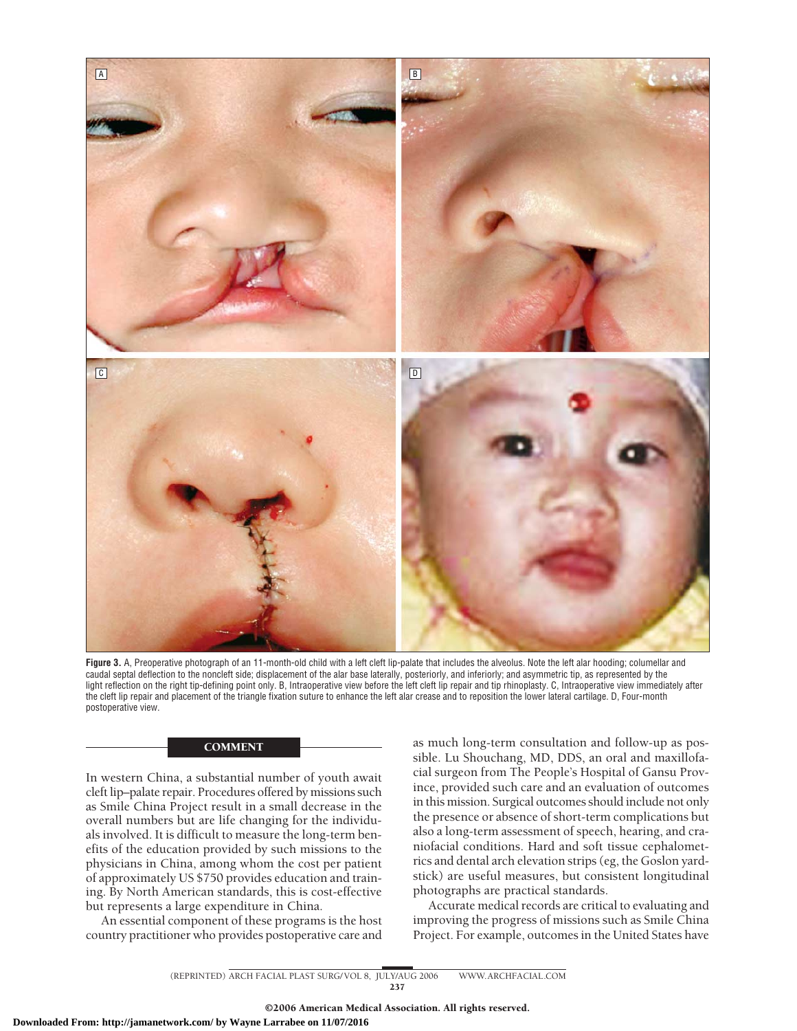

Figure 3. A, Preoperative photograph of an 11-month-old child with a left cleft lip-palate that includes the alveolus. Note the left alar hooding; columellar and caudal septal deflection to the noncleft side; displacement of the alar base laterally, posteriorly, and inferiorly; and asymmetric tip, as represented by the light reflection on the right tip-defining point only. B, Intraoperative view before the left cleft lip repair and tip rhinoplasty. C, Intraoperative view immediately after the cleft lip repair and placement of the triangle fixation suture to enhance the left alar crease and to reposition the lower lateral cartilage. D, Four-month postoperative view.

# **COMMENT**

In western China, a substantial number of youth await cleft lip–palate repair. Procedures offered by missions such as Smile China Project result in a small decrease in the overall numbers but are life changing for the individuals involved. It is difficult to measure the long-term benefits of the education provided by such missions to the physicians in China, among whom the cost per patient of approximately US \$750 provides education and training. By North American standards, this is cost-effective but represents a large expenditure in China.

An essential component of these programs is the host country practitioner who provides postoperative care and as much long-term consultation and follow-up as possible. Lu Shouchang, MD, DDS, an oral and maxillofacial surgeon from The People's Hospital of Gansu Province, provided such care and an evaluation of outcomes in this mission. Surgical outcomes should include not only the presence or absence of short-term complications but also a long-term assessment of speech, hearing, and craniofacial conditions. Hard and soft tissue cephalometrics and dental arch elevation strips (eg, the Goslon yardstick) are useful measures, but consistent longitudinal photographs are practical standards.

Accurate medical records are critical to evaluating and improving the progress of missions such as Smile China Project. For example, outcomes in the United States have

(REPRINTED) ARCH FACIAL PLAST SURG/ VOL 8, JULY/AUG 2006 WWW.ARCHFACIAL.COM 237

©2006 American Medical Association. All rights reserved.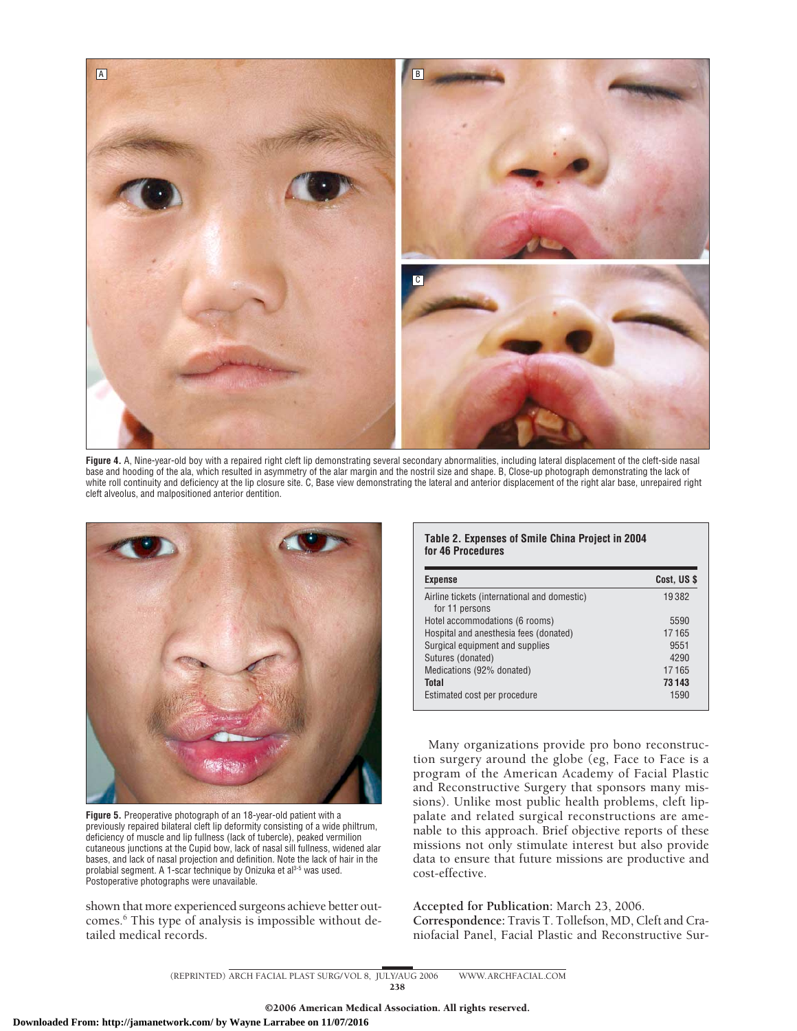

Figure 4. A, Nine-year-old boy with a repaired right cleft lip demonstrating several secondary abnormalities, including lateral displacement of the cleft-side nasal base and hooding of the ala, which resulted in asymmetry of the alar margin and the nostril size and shape. B, Close-up photograph demonstrating the lack of white roll continuity and deficiency at the lip closure site. C, Base view demonstrating the lateral and anterior displacement of the right alar base, unrepaired right cleft alveolus, and malpositioned anterior dentition.



**Figure 5.** Preoperative photograph of an 18-year-old patient with a previously repaired bilateral cleft lip deformity consisting of a wide philtrum, deficiency of muscle and lip fullness (lack of tubercle), peaked vermilion cutaneous junctions at the Cupid bow, lack of nasal sill fullness, widened alar bases, and lack of nasal projection and definition. Note the lack of hair in the prolabial segment. A 1-scar technique by Onizuka et al3-5 was used. Postoperative photographs were unavailable.

shown that more experienced surgeons achieve better outcomes.6 This type of analysis is impossible without detailed medical records.

## **Table 2. Expenses of Smile China Project in 2004 for 46 Procedures**

| <b>Expense</b>                                                 | Cost, US \$ |
|----------------------------------------------------------------|-------------|
| Airline tickets (international and domestic)<br>for 11 persons | 19382       |
| Hotel accommodations (6 rooms)                                 | 5590        |
| Hospital and anesthesia fees (donated)                         | 17165       |
| Surgical equipment and supplies                                | 9551        |
| Sutures (donated)                                              | 4290        |
| Medications (92% donated)                                      | 17165       |
| Total                                                          | 73143       |
| Estimated cost per procedure                                   | 1590        |

Many organizations provide pro bono reconstruction surgery around the globe (eg, Face to Face is a program of the American Academy of Facial Plastic and Reconstructive Surgery that sponsors many missions). Unlike most public health problems, cleft lippalate and related surgical reconstructions are amenable to this approach. Brief objective reports of these missions not only stimulate interest but also provide data to ensure that future missions are productive and cost-effective.

**Accepted for Publication:** March 23, 2006. **Correspondence:** Travis T. Tollefson, MD, Cleft and Craniofacial Panel, Facial Plastic and Reconstructive Sur-

(REPRINTED) ARCH FACIAL PLAST SURG/ VOL 8, JULY/AUG 2006 WWW.ARCHFACIAL.COM 238